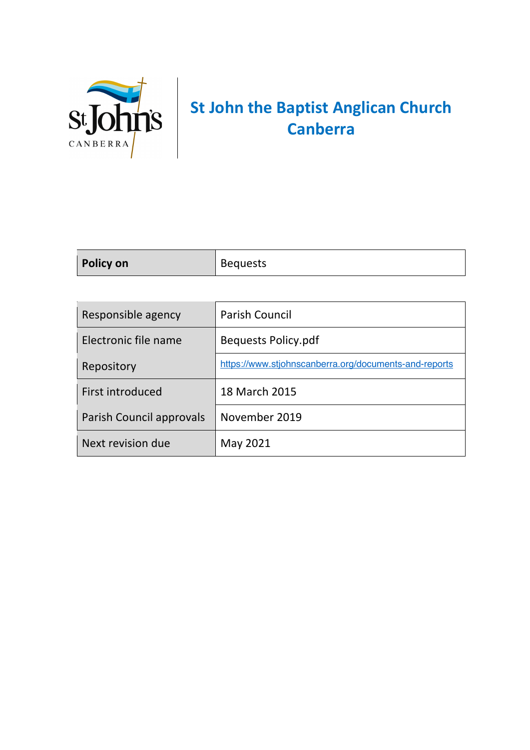

## **St John the Baptist Anglican Church Canberra**

| <b>Policy on</b>         | <b>Bequests</b>                                       |
|--------------------------|-------------------------------------------------------|
|                          |                                                       |
| Responsible agency       | <b>Parish Council</b>                                 |
| Electronic file name     | <b>Bequests Policy.pdf</b>                            |
| Repository               | https://www.stjohnscanberra.org/documents-and-reports |
| First introduced         | 18 March 2015                                         |
| Parish Council approvals | November 2019                                         |

Next revision due May 2021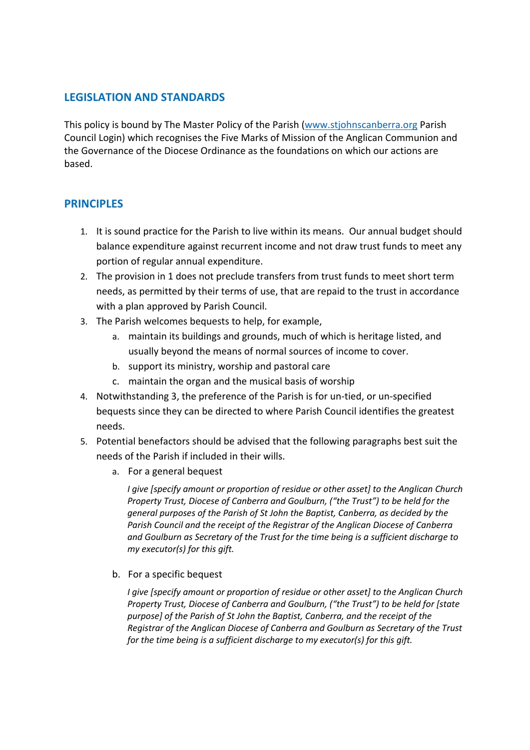## **LEGISLATION AND STANDARDS**

This policy is bound by The Master Policy of the Parish (www.stjohnscanberra.org Parish Council Login) which recognises the Five Marks of Mission of the Anglican Communion and the Governance of the Diocese Ordinance as the foundations on which our actions are based.

## **PRINCIPLES**

- 1. It is sound practice for the Parish to live within its means. Our annual budget should balance expenditure against recurrent income and not draw trust funds to meet any portion of regular annual expenditure.
- 2. The provision in 1 does not preclude transfers from trust funds to meet short term needs, as permitted by their terms of use, that are repaid to the trust in accordance with a plan approved by Parish Council.
- 3. The Parish welcomes bequests to help, for example,
	- a. maintain its buildings and grounds, much of which is heritage listed, and usually beyond the means of normal sources of income to cover.
	- b. support its ministry, worship and pastoral care
	- c. maintain the organ and the musical basis of worship
- 4. Notwithstanding 3, the preference of the Parish is for un-tied, or un-specified bequests since they can be directed to where Parish Council identifies the greatest needs.
- 5. Potential benefactors should be advised that the following paragraphs best suit the needs of the Parish if included in their wills.
	- a. For a general bequest

*I give [specify amount or proportion of residue or other asset] to the Anglican Church Property Trust, Diocese of Canberra and Goulburn, ("the Trust") to be held for the general purposes of the Parish of St John the Baptist, Canberra, as decided by the Parish Council and the receipt of the Registrar of the Anglican Diocese of Canberra and Goulburn as Secretary of the Trust for the time being is a sufficient discharge to my executor(s) for this gift.*

b. For a specific bequest

*I give [specify amount or proportion of residue or other asset] to the Anglican Church Property Trust, Diocese of Canberra and Goulburn, ("the Trust") to be held for [state purpose] of the Parish of St John the Baptist, Canberra, and the receipt of the Registrar of the Anglican Diocese of Canberra and Goulburn as Secretary of the Trust for the time being is a sufficient discharge to my executor(s) for this gift.*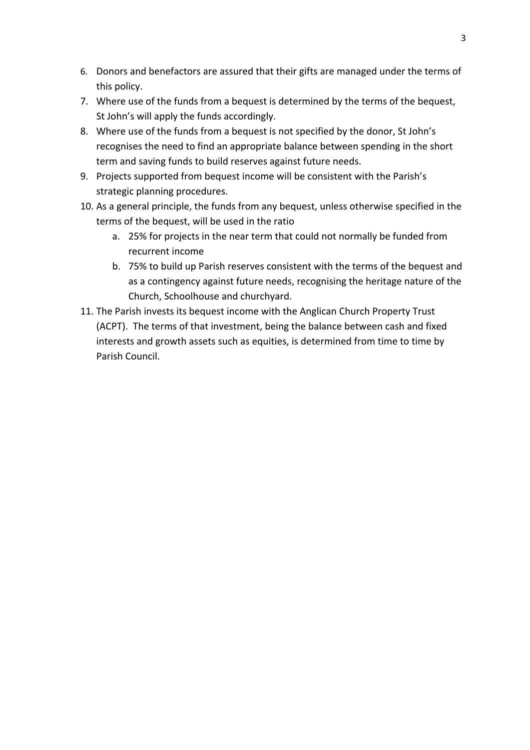- 6. Donors and benefactors are assured that their gifts are managed under the terms of this policy.
- 7. Where use of the funds from a bequest is determined by the terms of the bequest, St John's will apply the funds accordingly.
- 8. Where use of the funds from a bequest is not specified by the donor, St John's recognises the need to find an appropriate balance between spending in the short term and saving funds to build reserves against future needs.
- 9. Projects supported from bequest income will be consistent with the Parish's strategic planning procedures.
- 10. As a general principle, the funds from any bequest, unless otherwise specified in the terms of the bequest, will be used in the ratio
	- a. 25% for projects in the near term that could not normally be funded from recurrent income
	- b. 75% to build up Parish reserves consistent with the terms of the bequest and as a contingency against future needs, recognising the heritage nature of the Church, Schoolhouse and churchyard.
- 11. The Parish invests its bequest income with the Anglican Church Property Trust (ACPT). The terms of that investment, being the balance between cash and fixed interests and growth assets such as equities, is determined from time to time by Parish Council.